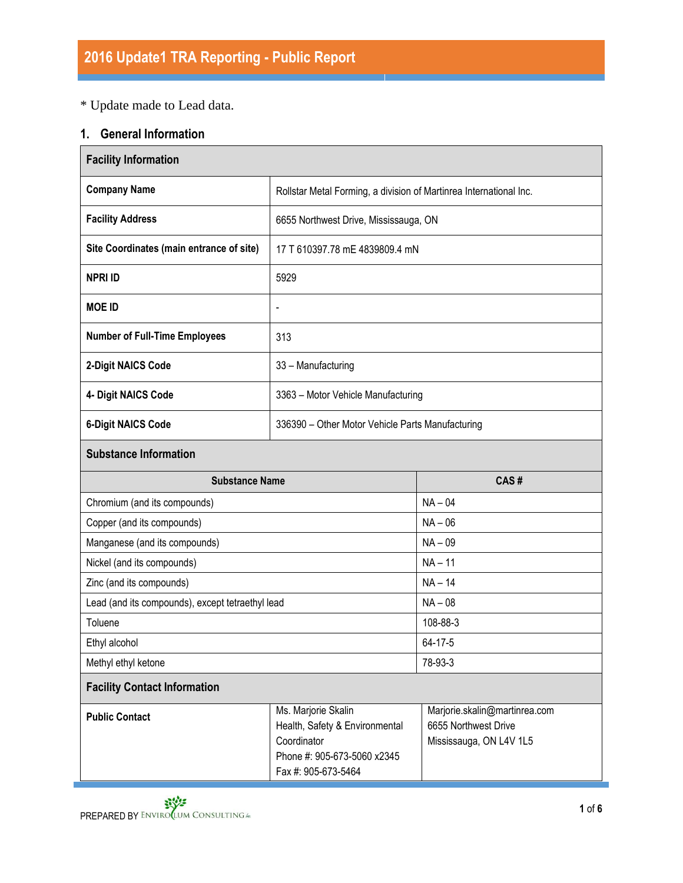# \* Update made to Lead data.

# **1. General Information**

| <b>Facility Information</b>                      |                                                                                                                            |                                                                                  |  |  |
|--------------------------------------------------|----------------------------------------------------------------------------------------------------------------------------|----------------------------------------------------------------------------------|--|--|
| <b>Company Name</b>                              | Rollstar Metal Forming, a division of Martinrea International Inc.                                                         |                                                                                  |  |  |
| <b>Facility Address</b>                          | 6655 Northwest Drive, Mississauga, ON                                                                                      |                                                                                  |  |  |
| Site Coordinates (main entrance of site)         | 17 T 610397.78 mE 4839809.4 mN                                                                                             |                                                                                  |  |  |
| <b>NPRI ID</b>                                   | 5929                                                                                                                       |                                                                                  |  |  |
| <b>MOE ID</b>                                    | $\qquad \qquad \blacksquare$                                                                                               |                                                                                  |  |  |
| <b>Number of Full-Time Employees</b>             | 313                                                                                                                        |                                                                                  |  |  |
| 2-Digit NAICS Code                               | 33 - Manufacturing                                                                                                         |                                                                                  |  |  |
| 4- Digit NAICS Code                              | 3363 - Motor Vehicle Manufacturing                                                                                         |                                                                                  |  |  |
| <b>6-Digit NAICS Code</b>                        | 336390 - Other Motor Vehicle Parts Manufacturing                                                                           |                                                                                  |  |  |
| <b>Substance Information</b>                     |                                                                                                                            |                                                                                  |  |  |
| <b>Substance Name</b>                            |                                                                                                                            | CAS#                                                                             |  |  |
| Chromium (and its compounds)                     |                                                                                                                            | $NA - 04$                                                                        |  |  |
| Copper (and its compounds)                       |                                                                                                                            | $NA - 06$                                                                        |  |  |
| Manganese (and its compounds)                    |                                                                                                                            | $NA - 09$                                                                        |  |  |
| Nickel (and its compounds)                       |                                                                                                                            | $NA - 11$                                                                        |  |  |
| Zinc (and its compounds)                         |                                                                                                                            | $NA - 14$                                                                        |  |  |
| Lead (and its compounds), except tetraethyl lead |                                                                                                                            | $NA - 08$                                                                        |  |  |
| Toluene                                          |                                                                                                                            | 108-88-3                                                                         |  |  |
| Ethyl alcohol                                    |                                                                                                                            | 64-17-5                                                                          |  |  |
| Methyl ethyl ketone                              |                                                                                                                            | 78-93-3                                                                          |  |  |
| <b>Facility Contact Information</b>              |                                                                                                                            |                                                                                  |  |  |
| <b>Public Contact</b>                            | Ms. Marjorie Skalin<br>Health, Safety & Environmental<br>Coordinator<br>Phone #: 905-673-5060 x2345<br>Fax #: 905-673-5464 | Marjorie.skalin@martinrea.com<br>6655 Northwest Drive<br>Mississauga, ON L4V 1L5 |  |  |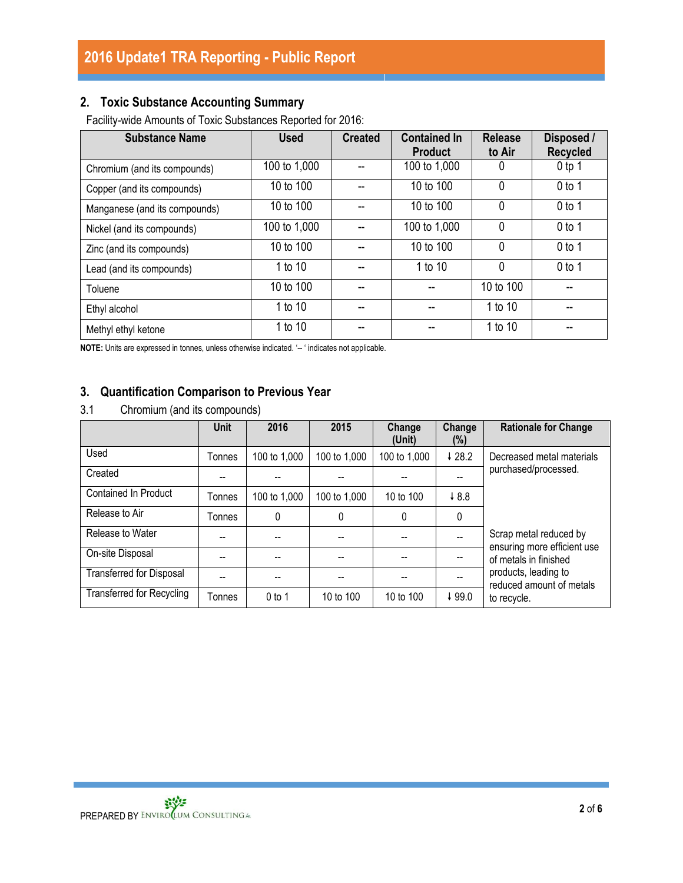## **2. Toxic Substance Accounting Summary**

Facility-wide Amounts of Toxic Substances Reported for 2016:

| <b>Substance Name</b>         | <b>Used</b>  | <b>Created</b> | <b>Contained In</b><br><b>Product</b> | <b>Release</b><br>to Air | Disposed /<br><b>Recycled</b> |
|-------------------------------|--------------|----------------|---------------------------------------|--------------------------|-------------------------------|
| Chromium (and its compounds)  | 100 to 1,000 |                | 100 to 1,000                          | 0                        | $0$ tp 1                      |
| Copper (and its compounds)    | 10 to 100    |                | 10 to 100                             | 0                        | $0$ to 1                      |
| Manganese (and its compounds) | 10 to 100    |                | 10 to 100                             | 0                        | $0$ to 1                      |
| Nickel (and its compounds)    | 100 to 1,000 |                | 100 to 1,000                          | 0                        | $0$ to 1                      |
| Zinc (and its compounds)      | 10 to 100    |                | 10 to 100                             | 0                        | $0$ to 1                      |
| Lead (and its compounds)      | 1 to 10      |                | 1 to 10                               | 0                        | $0$ to 1                      |
| Toluene                       | 10 to 100    |                |                                       | 10 to 100                |                               |
| Ethyl alcohol                 | 1 to 10      | --             |                                       | 1 to 10                  | --                            |
| Methyl ethyl ketone           | 1 to 10      |                |                                       | 1 to 10                  |                               |

**NOTE:** Units are expressed in tonnes, unless otherwise indicated. '-- ' indicates not applicable.

## **3. Quantification Comparison to Previous Year**

3.1 Chromium (and its compounds)

|                                  | <b>Unit</b> | 2016         | 2015         | Change<br>(Unit) | Change<br>(%) | <b>Rationale for Change</b>                          |
|----------------------------------|-------------|--------------|--------------|------------------|---------------|------------------------------------------------------|
| Used                             | Tonnes      | 100 to 1,000 | 100 to 1,000 | 100 to 1,000     | 428.2         | Decreased metal materials                            |
| Created                          |             |              |              |                  |               | purchased/processed.                                 |
| <b>Contained In Product</b>      | Tonnes      | 100 to 1,000 | 100 to 1,000 | 10 to 100        | 48.8          |                                                      |
| Release to Air                   | Tonnes      | 0            | 0            | $\Omega$         | 0             |                                                      |
| Release to Water                 |             |              |              |                  |               | Scrap metal reduced by                               |
| On-site Disposal                 |             |              |              |                  |               | ensuring more efficient use<br>of metals in finished |
| <b>Transferred for Disposal</b>  |             |              |              |                  |               | products, leading to<br>reduced amount of metals     |
| <b>Transferred for Recycling</b> | Tonnes      | $0$ to 1     | 10 to 100    | 10 to 100        | ↓99.0         | to recycle.                                          |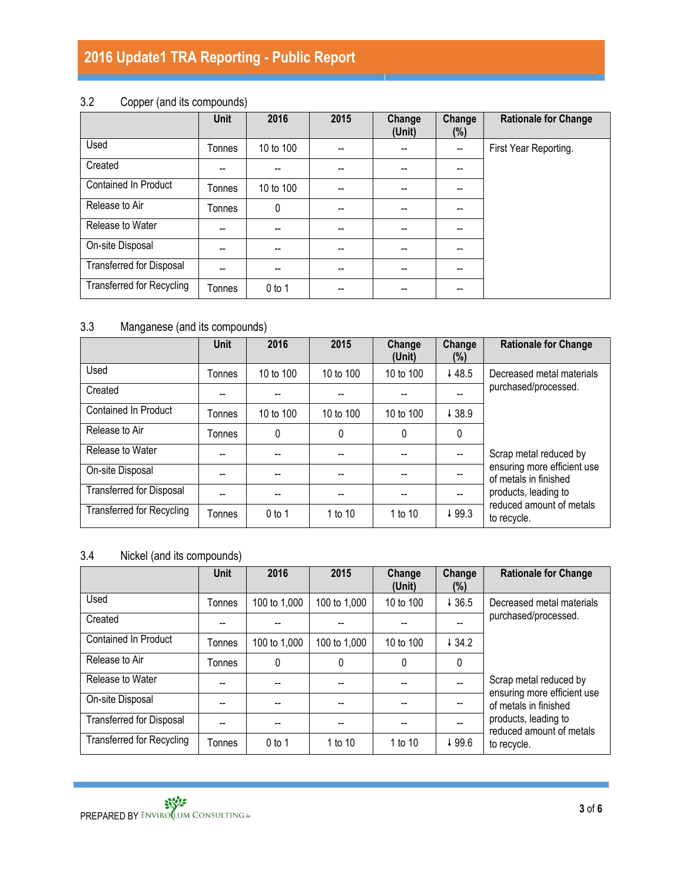|                                  | <b>Unit</b> | 2016      | 2015 | Change<br>(Unit)                      | Change<br>$(\%)$         | <b>Rationale for Change</b> |
|----------------------------------|-------------|-----------|------|---------------------------------------|--------------------------|-----------------------------|
| Used                             | Tonnes      | 10 to 100 |      |                                       | $\overline{\phantom{a}}$ | First Year Reporting.       |
| Created                          | --          |           | --   |                                       | $-$                      |                             |
| <b>Contained In Product</b>      | Tonnes      | 10 to 100 | --   | $\hspace{0.05cm}$ – $\hspace{0.05cm}$ | $\overline{\phantom{a}}$ |                             |
| Release to Air                   | Tonnes      | 0         | --   | $\overline{\phantom{a}}$              | --                       |                             |
| Release to Water                 | --          |           |      |                                       | --                       |                             |
| On-site Disposal                 | --          | --        | --   |                                       | --                       |                             |
| Transferred for Disposal         | --          | --        |      |                                       |                          |                             |
| <b>Transferred for Recycling</b> | Tonnes      | $0$ to 1  |      |                                       | --                       |                             |

# 3.2 Copper (and its compounds)

# 3.3 Manganese (and its compounds)

|                                  | <b>Unit</b> | 2016      | 2015      | Change<br>(Unit) | Change<br>(%) | <b>Rationale for Change</b>                          |
|----------------------------------|-------------|-----------|-----------|------------------|---------------|------------------------------------------------------|
| Used                             | Tonnes      | 10 to 100 | 10 to 100 | 10 to 100        | 448.5         | Decreased metal materials                            |
| Created                          |             |           |           |                  |               | purchased/processed.                                 |
| <b>Contained In Product</b>      | Tonnes      | 10 to 100 | 10 to 100 | 10 to 100        | 438.9         |                                                      |
| Release to Air                   | Tonnes      | 0         | $\Omega$  | $\Omega$         | 0             |                                                      |
| Release to Water                 |             |           |           |                  |               | Scrap metal reduced by                               |
| On-site Disposal                 |             |           |           |                  |               | ensuring more efficient use<br>of metals in finished |
| <b>Transferred for Disposal</b>  |             |           |           |                  | $-$           | products, leading to                                 |
| <b>Transferred for Recycling</b> | Tonnes      | $0$ to 1  | 1 to 10   | 1 to 10          | 499.3         | reduced amount of metals<br>to recycle.              |

## 3.4 Nickel (and its compounds)

|                                  | <b>Unit</b>   | 2016         | 2015         | Change<br>(Unit) | Change<br>(%) | <b>Rationale for Change</b>                          |
|----------------------------------|---------------|--------------|--------------|------------------|---------------|------------------------------------------------------|
| Used                             | Tonnes        | 100 to 1,000 | 100 to 1,000 | 10 to 100        | 436.5         | Decreased metal materials                            |
| Created                          |               |              |              |                  |               | purchased/processed.                                 |
| <b>Contained In Product</b>      | Tonnes        | 100 to 1,000 | 100 to 1,000 | 10 to 100        | 434.2         |                                                      |
| Release to Air                   | <b>Tonnes</b> | 0            | 0            | 0                | $\mathbf{0}$  |                                                      |
| Release to Water                 |               |              |              |                  |               | Scrap metal reduced by                               |
| On-site Disposal                 |               |              |              |                  |               | ensuring more efficient use<br>of metals in finished |
| <b>Transferred for Disposal</b>  |               |              |              |                  |               | products, leading to<br>reduced amount of metals     |
| <b>Transferred for Recycling</b> | Tonnes        | $0$ to 1     | 1 to 10      | 1 to 10          | ↓99.6         | to recycle.                                          |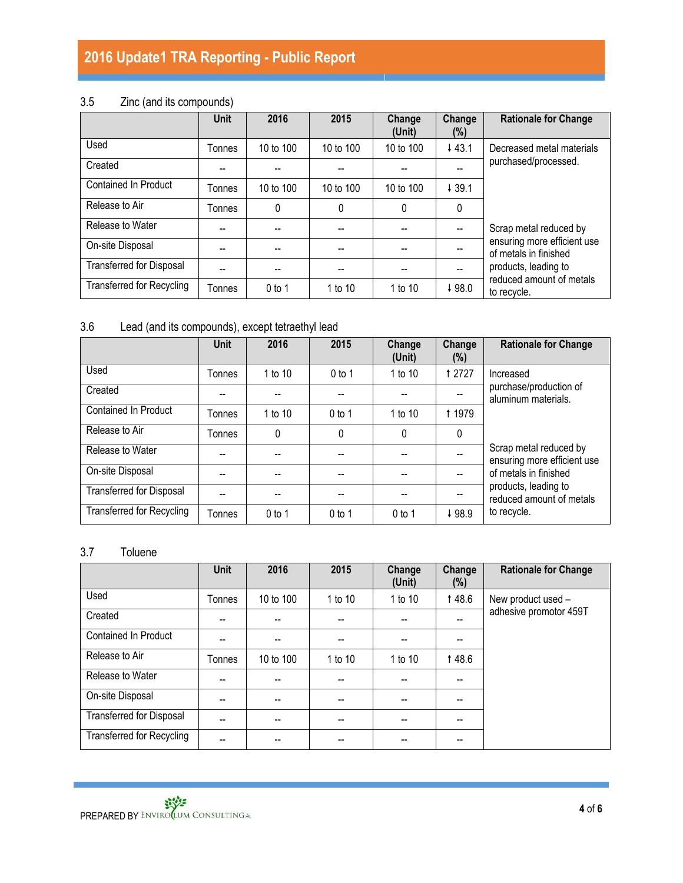# 3.5 Zinc (and its compounds)

|                                  | <b>Unit</b> | 2016      | 2015      | Change<br>(Unit) | Change<br>$(\%)$ | <b>Rationale for Change</b>                          |
|----------------------------------|-------------|-----------|-----------|------------------|------------------|------------------------------------------------------|
| Used                             | Tonnes      | 10 to 100 | 10 to 100 | 10 to $100$      | 443.1            | Decreased metal materials                            |
| Created                          |             |           |           |                  |                  | purchased/processed.                                 |
| Contained In Product             | Tonnes      | 10 to 100 | 10 to 100 | 10 to 100        | 439.1            |                                                      |
| Release to Air                   | Tonnes      | 0         | 0         | 0                | $\mathbf{0}$     |                                                      |
| Release to Water                 | --          |           |           |                  |                  | Scrap metal reduced by                               |
| On-site Disposal                 | --          | --        | --        |                  |                  | ensuring more efficient use<br>of metals in finished |
| <b>Transferred for Disposal</b>  |             | --        |           |                  |                  | products, leading to                                 |
| <b>Transferred for Recycling</b> | Tonnes      | $0$ to 1  | 1 to 10   | 1 to 10          | ↓98.0            | reduced amount of metals<br>to recycle.              |

# 3.6 Lead (and its compounds), except tetraethyl lead

|                                  | <b>Unit</b> | 2016      | 2015     | Change<br>(Unit) | Change<br>$(\%)$ | <b>Rationale for Change</b>                           |
|----------------------------------|-------------|-----------|----------|------------------|------------------|-------------------------------------------------------|
| Used                             | Tonnes      | 1 to $10$ | $0$ to 1 | 1 to 10          | <b>12727</b>     | Increased                                             |
| Created                          |             |           |          |                  |                  | purchase/production of<br>aluminum materials.         |
| <b>Contained In Product</b>      | Tonnes      | 1 to 10   | $0$ to 1 | 1 to 10          | 1 1979           |                                                       |
| Release to Air                   | Tonnes      | 0         | 0        | $\Omega$         | 0                |                                                       |
| Release to Water                 |             |           |          |                  |                  | Scrap metal reduced by<br>ensuring more efficient use |
| On-site Disposal                 |             |           |          |                  |                  | of metals in finished                                 |
| <b>Transferred for Disposal</b>  |             |           |          |                  |                  | products, leading to<br>reduced amount of metals      |
| <b>Transferred for Recycling</b> | Tonnes      | $0$ to 1  | $0$ to 1 | $0$ to 1         | ↓98.9            | to recycle.                                           |

## 3.7 Toluene

|                                  | <b>Unit</b> | 2016      | 2015    | Change<br>(Unit) | Change<br>(%) | <b>Rationale for Change</b> |
|----------------------------------|-------------|-----------|---------|------------------|---------------|-----------------------------|
| Used                             | Tonnes      | 10 to 100 | 1 to 10 | 1 to 10          | 148.6         | New product used -          |
| Created                          | --          |           |         |                  |               | adhesive promotor 459T      |
| <b>Contained In Product</b>      |             |           |         |                  |               |                             |
| Release to Air                   | Tonnes      | 10 to 100 | 1 to 10 | 1 to 10          | 148.6         |                             |
| Release to Water                 | --          |           |         |                  |               |                             |
| On-site Disposal                 | --          | --        | --      | --               |               |                             |
| <b>Transferred for Disposal</b>  | --          | --        | --      | --               | --            |                             |
| <b>Transferred for Recycling</b> | --          | --        |         |                  | --            |                             |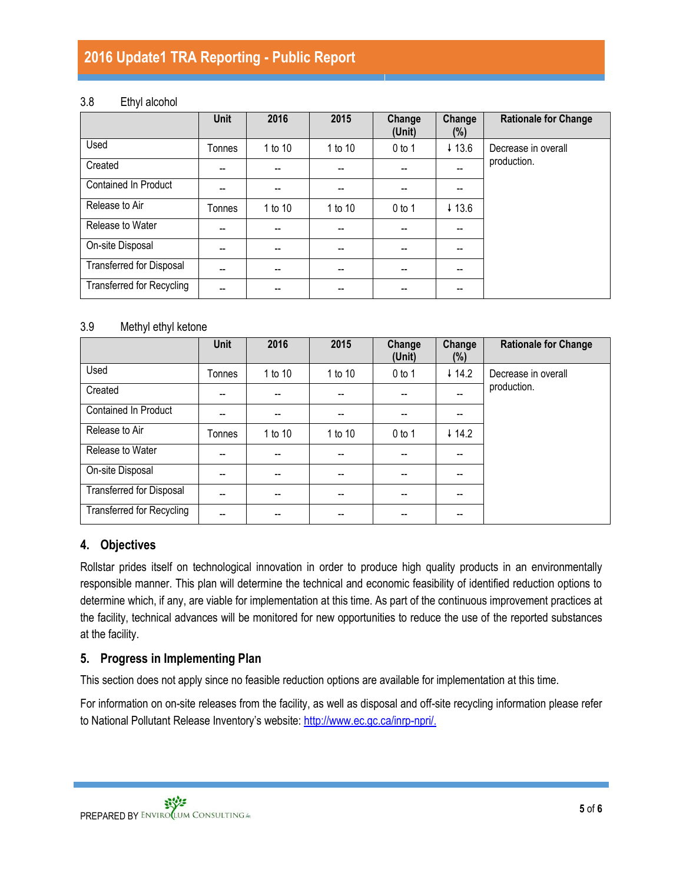### 3.8 Ethyl alcohol

|                                  | <b>Unit</b> | 2016    | 2015    | Change<br>(Unit) | Change<br>$(\%)$ | <b>Rationale for Change</b> |
|----------------------------------|-------------|---------|---------|------------------|------------------|-----------------------------|
| Used                             | Tonnes      | 1 to 10 | 1 to 10 | $0$ to 1         | 413.6            | Decrease in overall         |
| Created                          |             |         |         |                  |                  | production.                 |
| <b>Contained In Product</b>      |             |         |         |                  |                  |                             |
| Release to Air                   | Tonnes      | 1 to 10 | 1 to 10 | $0$ to 1         | 413.6            |                             |
| Release to Water                 |             | --      |         |                  |                  |                             |
| On-site Disposal                 |             | --      | --      |                  | --               |                             |
| <b>Transferred for Disposal</b>  | --          | --      | --      | --               | --               |                             |
| <b>Transferred for Recycling</b> |             | --      | --      |                  | --               |                             |

### 3.9 Methyl ethyl ketone

|                                  | Unit   | 2016    | 2015                     | Change<br>(Unit) | Change<br>$(\%)$  | <b>Rationale for Change</b> |
|----------------------------------|--------|---------|--------------------------|------------------|-------------------|-----------------------------|
| Used                             | Tonnes | 1 to 10 | 1 to 10                  | $0$ to 1         | $\downarrow$ 14.2 | Decrease in overall         |
| Created                          | --     |         | $\overline{\phantom{a}}$ |                  | $-$               | production.                 |
| <b>Contained In Product</b>      | --     |         | $-$                      |                  | --                |                             |
| Release to Air                   | Tonnes | 1 to 10 | 1 to 10                  | $0$ to 1         | $\downarrow$ 14.2 |                             |
| Release to Water                 | --     |         | $\overline{\phantom{a}}$ |                  | --                |                             |
| On-site Disposal                 | --     |         | $\overline{\phantom{a}}$ |                  | --                |                             |
| Transferred for Disposal         | --     |         |                          |                  | --                |                             |
| <b>Transferred for Recycling</b> | --     |         |                          |                  | --                |                             |

## **4. Objectives**

Rollstar prides itself on technological innovation in order to produce high quality products in an environmentally responsible manner. This plan will determine the technical and economic feasibility of identified reduction options to determine which, if any, are viable for implementation at this time. As part of the continuous improvement practices at the facility, technical advances will be monitored for new opportunities to reduce the use of the reported substances at the facility.

### **5. Progress in Implementing Plan**

This section does not apply since no feasible reduction options are available for implementation at this time.

For information on on-site releases from the facility, as well as disposal and off-site recycling information please refer to National Pollutant Release Inventory's website: [http://www.ec.gc.ca/inrp-npri/.](http://www.ec.gc.ca/inrp-npri/)